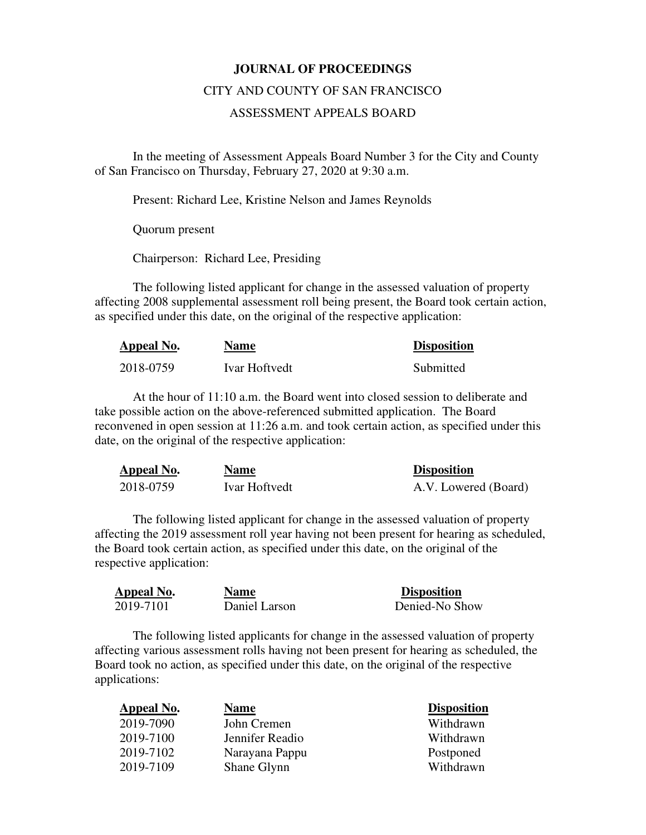## **JOURNAL OF PROCEEDINGS**

## CITY AND COUNTY OF SAN FRANCISCO

## ASSESSMENT APPEALS BOARD

 In the meeting of Assessment Appeals Board Number 3 for the City and County of San Francisco on Thursday, February 27, 2020 at 9:30 a.m.

Present: Richard Lee, Kristine Nelson and James Reynolds

Quorum present

Chairperson: Richard Lee, Presiding

The following listed applicant for change in the assessed valuation of property affecting 2008 supplemental assessment roll being present, the Board took certain action, as specified under this date, on the original of the respective application:

| Appeal No. | <b>Name</b>          | <b>Disposition</b> |
|------------|----------------------|--------------------|
| 2018-0759  | <b>Ivar Hoftvedt</b> | Submitted          |

At the hour of 11:10 a.m. the Board went into closed session to deliberate and take possible action on the above-referenced submitted application. The Board reconvened in open session at 11:26 a.m. and took certain action, as specified under this date, on the original of the respective application:

| Appeal No. | <b>Name</b>   | <b>Disposition</b>   |
|------------|---------------|----------------------|
| 2018-0759  | Ivar Hoftvedt | A.V. Lowered (Board) |

The following listed applicant for change in the assessed valuation of property affecting the 2019 assessment roll year having not been present for hearing as scheduled, the Board took certain action, as specified under this date, on the original of the respective application:

| Appeal No. | <b>Name</b>   | <b>Disposition</b> |
|------------|---------------|--------------------|
| 2019-7101  | Daniel Larson | Denied-No Show     |

The following listed applicants for change in the assessed valuation of property affecting various assessment rolls having not been present for hearing as scheduled, the Board took no action, as specified under this date, on the original of the respective applications:

| Appeal No. | <b>Name</b>     | <b>Disposition</b> |
|------------|-----------------|--------------------|
| 2019-7090  | John Cremen     | Withdrawn          |
| 2019-7100  | Jennifer Readio | Withdrawn          |
| 2019-7102  | Narayana Pappu  | Postponed          |
| 2019-7109  | Shane Glynn     | Withdrawn          |